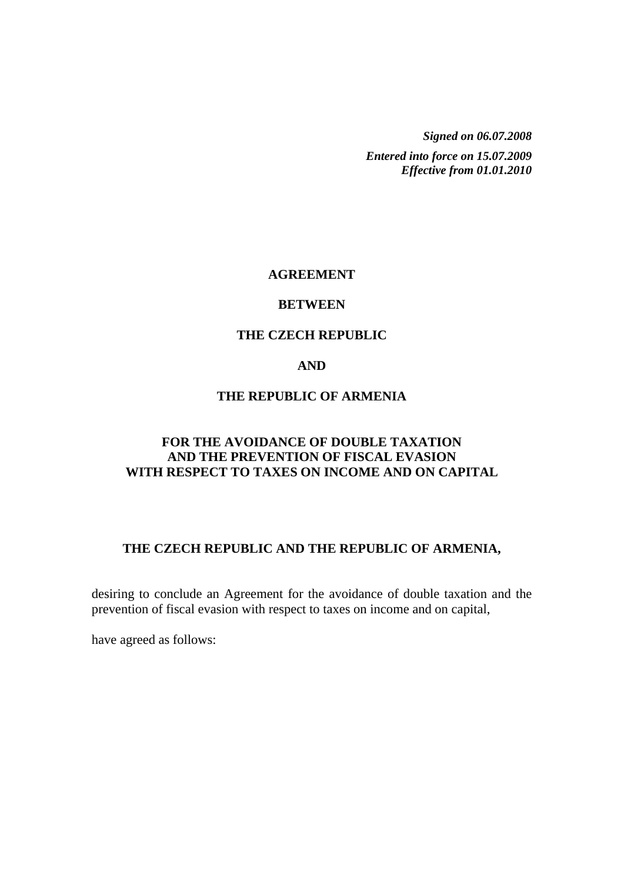*Signed on 06.07.2008 Entered into force on 15.07.2009 Effective from 01.01.2010*

# **AGREEMENT**

# **BETWEEN**

## **THE CZECH REPUBLIC**

## **AND**

# **THE REPUBLIC OF ARMENIA**

# **FOR THE AVOIDANCE OF DOUBLE TAXATION AND THE PREVENTION OF FISCAL EVASION WITH RESPECT TO TAXES ON INCOME AND ON CAPITAL**

# **THE CZECH REPUBLIC AND THE REPUBLIC OF ARMENIA,**

desiring to conclude an Agreement for the avoidance of double taxation and the prevention of fiscal evasion with respect to taxes on income and on capital,

have agreed as follows: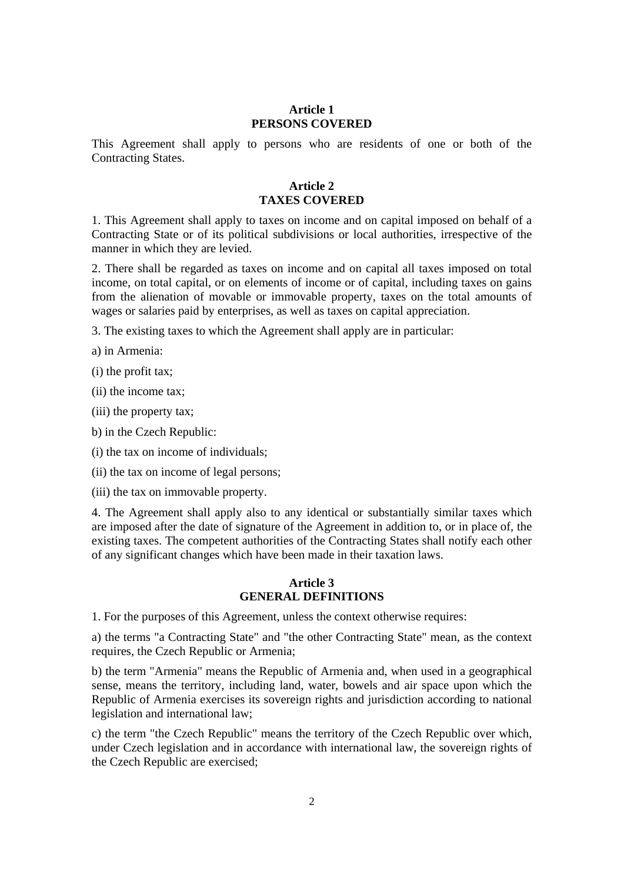### **Article 1 PERSONS COVERED**

This Agreement shall apply to persons who are residents of one or both of the Contracting States.

## **Article 2 TAXES COVERED**

1. This Agreement shall apply to taxes on income and on capital imposed on behalf of a Contracting State or of its political subdivisions or local authorities, irrespective of the manner in which they are levied.

2. There shall be regarded as taxes on income and on capital all taxes imposed on total income, on total capital, or on elements of income or of capital, including taxes on gains from the alienation of movable or immovable property, taxes on the total amounts of wages or salaries paid by enterprises, as well as taxes on capital appreciation.

3. The existing taxes to which the Agreement shall apply are in particular:

a) in Armenia:

(i) the profit tax;

(ii) the income tax;

(iii) the property tax;

b) in the Czech Republic:

(i) the tax on income of individuals;

(ii) the tax on income of legal persons;

(iii) the tax on immovable property.

4. The Agreement shall apply also to any identical or substantially similar taxes which are imposed after the date of signature of the Agreement in addition to, or in place of, the existing taxes. The competent authorities of the Contracting States shall notify each other of any significant changes which have been made in their taxation laws.

#### **Article 3 GENERAL DEFINITIONS**

1. For the purposes of this Agreement, unless the context otherwise requires:

a) the terms "a Contracting State" and "the other Contracting State" mean, as the context requires, the Czech Republic or Armenia;

b) the term "Armenia" means the Republic of Armenia and, when used in a geographical sense, means the territory, including land, water, bowels and air space upon which the Republic of Armenia exercises its sovereign rights and jurisdiction according to national legislation and international law;

c) the term "the Czech Republic" means the territory of the Czech Republic over which, under Czech legislation and in accordance with international law, the sovereign rights of the Czech Republic are exercised;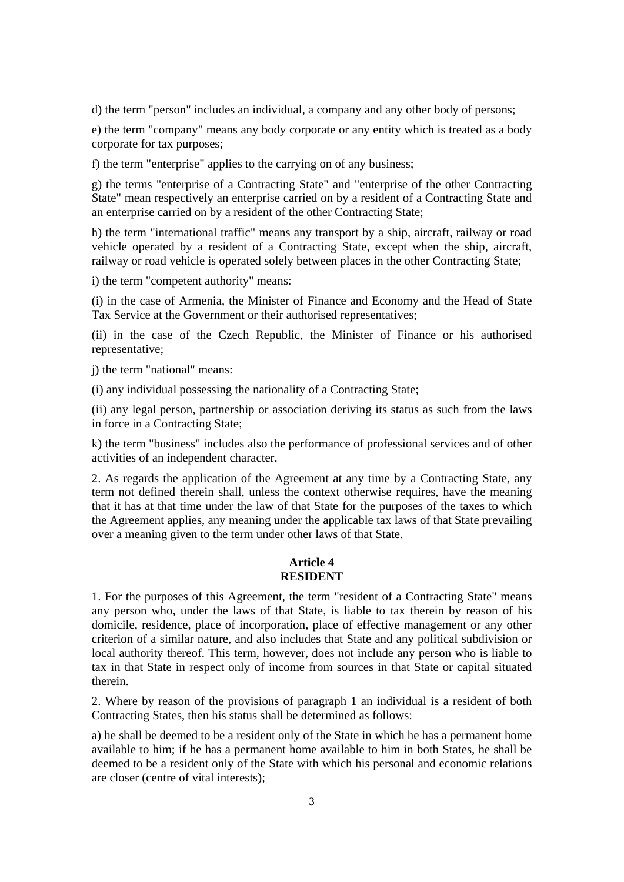d) the term "person" includes an individual, a company and any other body of persons;

e) the term "company" means any body corporate or any entity which is treated as a body corporate for tax purposes;

f) the term "enterprise" applies to the carrying on of any business;

g) the terms "enterprise of a Contracting State" and "enterprise of the other Contracting State" mean respectively an enterprise carried on by a resident of a Contracting State and an enterprise carried on by a resident of the other Contracting State;

h) the term "international traffic" means any transport by a ship, aircraft, railway or road vehicle operated by a resident of a Contracting State, except when the ship, aircraft, railway or road vehicle is operated solely between places in the other Contracting State;

i) the term "competent authority" means:

(i) in the case of Armenia, the Minister of Finance and Economy and the Head of State Tax Service at the Government or their authorised representatives;

(ii) in the case of the Czech Republic, the Minister of Finance or his authorised representative;

j) the term "national" means:

(i) any individual possessing the nationality of a Contracting State;

(ii) any legal person, partnership or association deriving its status as such from the laws in force in a Contracting State;

k) the term "business" includes also the performance of professional services and of other activities of an independent character.

2. As regards the application of the Agreement at any time by a Contracting State, any term not defined therein shall, unless the context otherwise requires, have the meaning that it has at that time under the law of that State for the purposes of the taxes to which the Agreement applies, any meaning under the applicable tax laws of that State prevailing over a meaning given to the term under other laws of that State.

#### **Article 4 RESIDENT**

1. For the purposes of this Agreement, the term "resident of a Contracting State" means any person who, under the laws of that State, is liable to tax therein by reason of his domicile, residence, place of incorporation, place of effective management or any other criterion of a similar nature, and also includes that State and any political subdivision or local authority thereof. This term, however, does not include any person who is liable to tax in that State in respect only of income from sources in that State or capital situated therein.

2. Where by reason of the provisions of paragraph 1 an individual is a resident of both Contracting States, then his status shall be determined as follows:

a) he shall be deemed to be a resident only of the State in which he has a permanent home available to him; if he has a permanent home available to him in both States, he shall be deemed to be a resident only of the State with which his personal and economic relations are closer (centre of vital interests);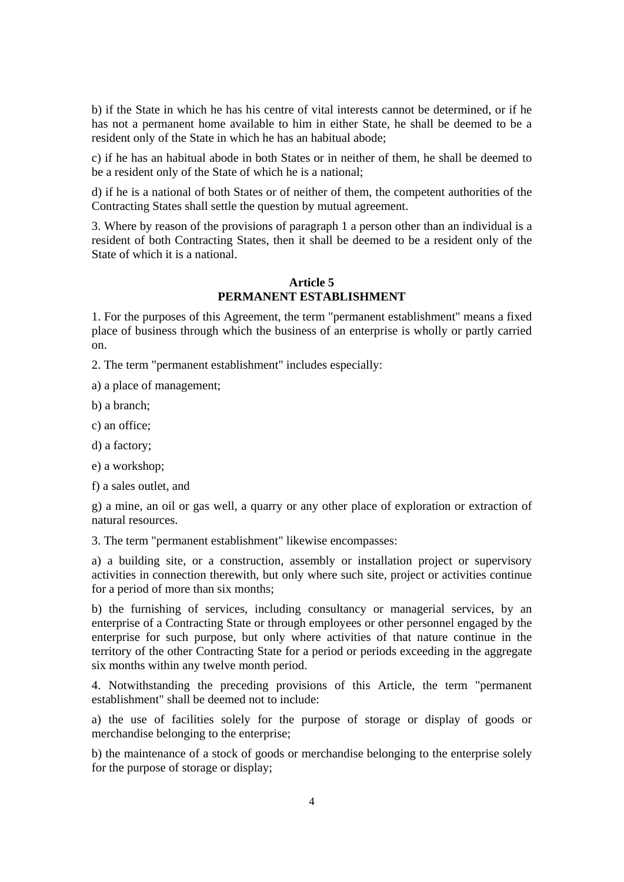b) if the State in which he has his centre of vital interests cannot be determined, or if he has not a permanent home available to him in either State, he shall be deemed to be a resident only of the State in which he has an habitual abode;

c) if he has an habitual abode in both States or in neither of them, he shall be deemed to be a resident only of the State of which he is a national;

d) if he is a national of both States or of neither of them, the competent authorities of the Contracting States shall settle the question by mutual agreement.

3. Where by reason of the provisions of paragraph 1 a person other than an individual is a resident of both Contracting States, then it shall be deemed to be a resident only of the State of which it is a national.

## **Article 5 PERMANENT ESTABLISHMENT**

1. For the purposes of this Agreement, the term "permanent establishment" means a fixed place of business through which the business of an enterprise is wholly or partly carried on.

2. The term "permanent establishment" includes especially:

a) a place of management;

b) a branch;

c) an office;

d) a factory;

e) a workshop;

f) a sales outlet, and

g) a mine, an oil or gas well, a quarry or any other place of exploration or extraction of natural resources.

3. The term "permanent establishment" likewise encompasses:

a) a building site, or a construction, assembly or installation project or supervisory activities in connection therewith, but only where such site, project or activities continue for a period of more than six months;

b) the furnishing of services, including consultancy or managerial services, by an enterprise of a Contracting State or through employees or other personnel engaged by the enterprise for such purpose, but only where activities of that nature continue in the territory of the other Contracting State for a period or periods exceeding in the aggregate six months within any twelve month period.

4. Notwithstanding the preceding provisions of this Article, the term "permanent establishment" shall be deemed not to include:

a) the use of facilities solely for the purpose of storage or display of goods or merchandise belonging to the enterprise;

b) the maintenance of a stock of goods or merchandise belonging to the enterprise solely for the purpose of storage or display;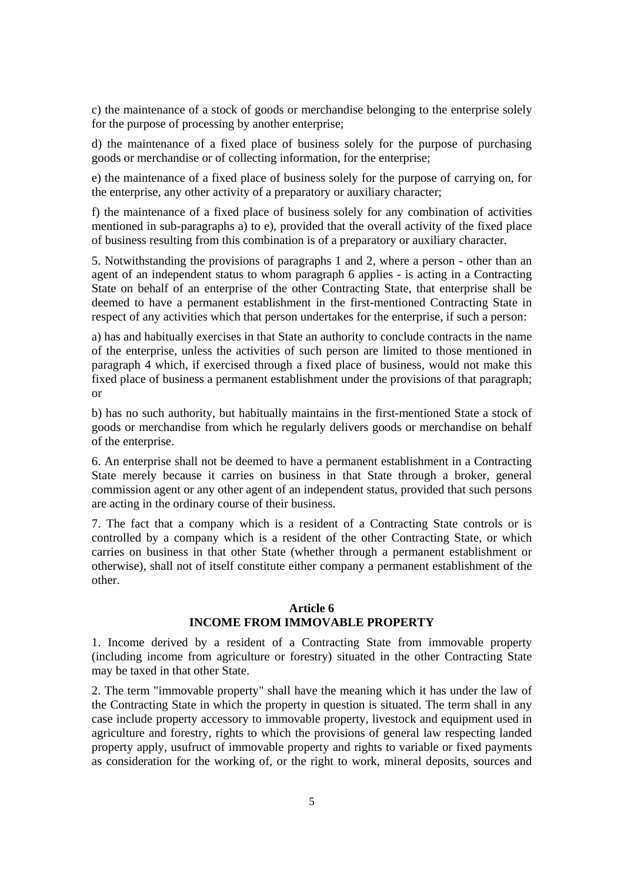c) the maintenance of a stock of goods or merchandise belonging to the enterprise solely for the purpose of processing by another enterprise;

d) the maintenance of a fixed place of business solely for the purpose of purchasing goods or merchandise or of collecting information, for the enterprise;

e) the maintenance of a fixed place of business solely for the purpose of carrying on, for the enterprise, any other activity of a preparatory or auxiliary character;

f) the maintenance of a fixed place of business solely for any combination of activities mentioned in sub-paragraphs a) to e), provided that the overall activity of the fixed place of business resulting from this combination is of a preparatory or auxiliary character.

5. Notwithstanding the provisions of paragraphs 1 and 2, where a person - other than an agent of an independent status to whom paragraph 6 applies - is acting in a Contracting State on behalf of an enterprise of the other Contracting State, that enterprise shall be deemed to have a permanent establishment in the first-mentioned Contracting State in respect of any activities which that person undertakes for the enterprise, if such a person:

a) has and habitually exercises in that State an authority to conclude contracts in the name of the enterprise, unless the activities of such person are limited to those mentioned in paragraph 4 which, if exercised through a fixed place of business, would not make this fixed place of business a permanent establishment under the provisions of that paragraph; or

b) has no such authority, but habitually maintains in the first-mentioned State a stock of goods or merchandise from which he regularly delivers goods or merchandise on behalf of the enterprise.

6. An enterprise shall not be deemed to have a permanent establishment in a Contracting State merely because it carries on business in that State through a broker, general commission agent or any other agent of an independent status, provided that such persons are acting in the ordinary course of their business.

7. The fact that a company which is a resident of a Contracting State controls or is controlled by a company which is a resident of the other Contracting State, or which carries on business in that other State (whether through a permanent establishment or otherwise), shall not of itself constitute either company a permanent establishment of the other.

### **Article 6 INCOME FROM IMMOVABLE PROPERTY**

1. Income derived by a resident of a Contracting State from immovable property (including income from agriculture or forestry) situated in the other Contracting State may be taxed in that other State.

2. The term "immovable property" shall have the meaning which it has under the law of the Contracting State in which the property in question is situated. The term shall in any case include property accessory to immovable property, livestock and equipment used in agriculture and forestry, rights to which the provisions of general law respecting landed property apply, usufruct of immovable property and rights to variable or fixed payments as consideration for the working of, or the right to work, mineral deposits, sources and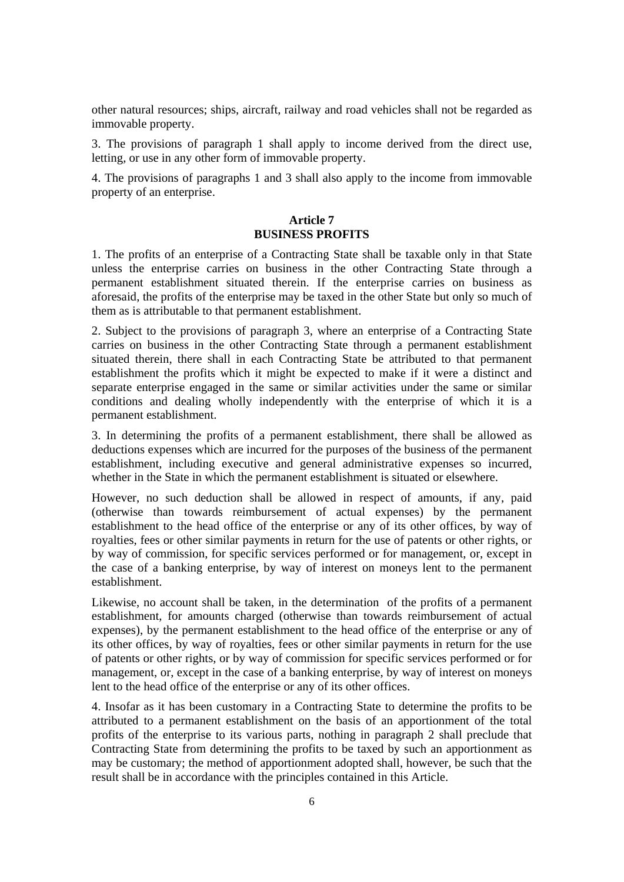other natural resources; ships, aircraft, railway and road vehicles shall not be regarded as immovable property.

3. The provisions of paragraph 1 shall apply to income derived from the direct use, letting, or use in any other form of immovable property.

4. The provisions of paragraphs 1 and 3 shall also apply to the income from immovable property of an enterprise.

#### **Article 7 BUSINESS PROFITS**

1. The profits of an enterprise of a Contracting State shall be taxable only in that State unless the enterprise carries on business in the other Contracting State through a permanent establishment situated therein. If the enterprise carries on business as aforesaid, the profits of the enterprise may be taxed in the other State but only so much of them as is attributable to that permanent establishment.

2. Subject to the provisions of paragraph 3, where an enterprise of a Contracting State carries on business in the other Contracting State through a permanent establishment situated therein, there shall in each Contracting State be attributed to that permanent establishment the profits which it might be expected to make if it were a distinct and separate enterprise engaged in the same or similar activities under the same or similar conditions and dealing wholly independently with the enterprise of which it is a permanent establishment.

3. In determining the profits of a permanent establishment, there shall be allowed as deductions expenses which are incurred for the purposes of the business of the permanent establishment, including executive and general administrative expenses so incurred, whether in the State in which the permanent establishment is situated or elsewhere.

However, no such deduction shall be allowed in respect of amounts, if any, paid (otherwise than towards reimbursement of actual expenses) by the permanent establishment to the head office of the enterprise or any of its other offices, by way of royalties, fees or other similar payments in return for the use of patents or other rights, or by way of commission, for specific services performed or for management, or, except in the case of a banking enterprise, by way of interest on moneys lent to the permanent establishment.

Likewise, no account shall be taken, in the determination of the profits of a permanent establishment, for amounts charged (otherwise than towards reimbursement of actual expenses), by the permanent establishment to the head office of the enterprise or any of its other offices, by way of royalties, fees or other similar payments in return for the use of patents or other rights, or by way of commission for specific services performed or for management, or, except in the case of a banking enterprise, by way of interest on moneys lent to the head office of the enterprise or any of its other offices.

4. Insofar as it has been customary in a Contracting State to determine the profits to be attributed to a permanent establishment on the basis of an apportionment of the total profits of the enterprise to its various parts, nothing in paragraph 2 shall preclude that Contracting State from determining the profits to be taxed by such an apportionment as may be customary; the method of apportionment adopted shall, however, be such that the result shall be in accordance with the principles contained in this Article.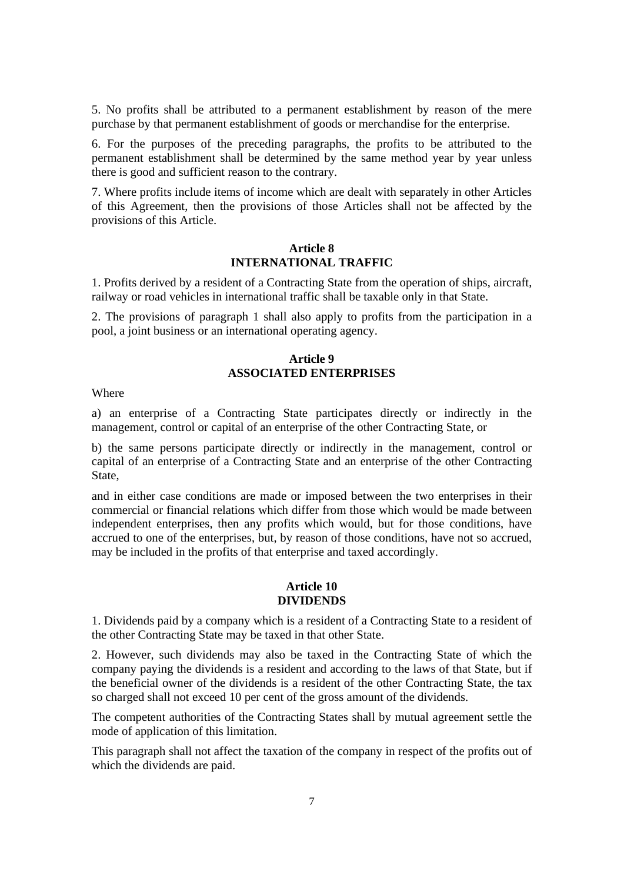5. No profits shall be attributed to a permanent establishment by reason of the mere purchase by that permanent establishment of goods or merchandise for the enterprise.

6. For the purposes of the preceding paragraphs, the profits to be attributed to the permanent establishment shall be determined by the same method year by year unless there is good and sufficient reason to the contrary.

7. Where profits include items of income which are dealt with separately in other Articles of this Agreement, then the provisions of those Articles shall not be affected by the provisions of this Article.

## **Article 8 INTERNATIONAL TRAFFIC**

1. Profits derived by a resident of a Contracting State from the operation of ships, aircraft, railway or road vehicles in international traffic shall be taxable only in that State.

2. The provisions of paragraph 1 shall also apply to profits from the participation in a pool, a joint business or an international operating agency.

## **Article 9 ASSOCIATED ENTERPRISES**

Where

a) an enterprise of a Contracting State participates directly or indirectly in the management, control or capital of an enterprise of the other Contracting State, or

b) the same persons participate directly or indirectly in the management, control or capital of an enterprise of a Contracting State and an enterprise of the other Contracting State,

and in either case conditions are made or imposed between the two enterprises in their commercial or financial relations which differ from those which would be made between independent enterprises, then any profits which would, but for those conditions, have accrued to one of the enterprises, but, by reason of those conditions, have not so accrued, may be included in the profits of that enterprise and taxed accordingly.

#### **Article 10 DIVIDENDS**

1. Dividends paid by a company which is a resident of a Contracting State to a resident of the other Contracting State may be taxed in that other State.

2. However, such dividends may also be taxed in the Contracting State of which the company paying the dividends is a resident and according to the laws of that State, but if the beneficial owner of the dividends is a resident of the other Contracting State, the tax so charged shall not exceed 10 per cent of the gross amount of the dividends.

The competent authorities of the Contracting States shall by mutual agreement settle the mode of application of this limitation.

This paragraph shall not affect the taxation of the company in respect of the profits out of which the dividends are paid.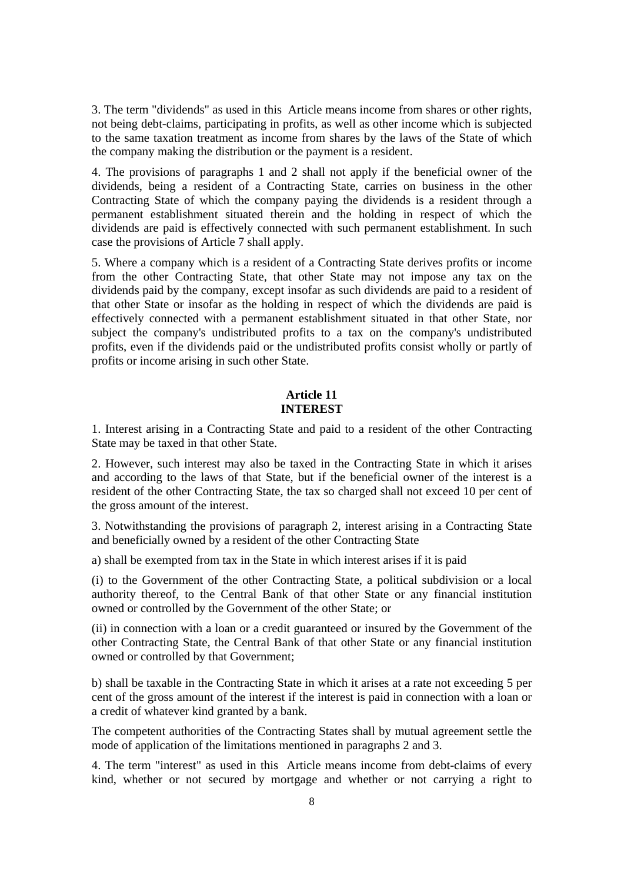3. The term "dividends" as used in this Article means income from shares or other rights, not being debt-claims, participating in profits, as well as other income which is subjected to the same taxation treatment as income from shares by the laws of the State of which the company making the distribution or the payment is a resident.

4. The provisions of paragraphs 1 and 2 shall not apply if the beneficial owner of the dividends, being a resident of a Contracting State, carries on business in the other Contracting State of which the company paying the dividends is a resident through a permanent establishment situated therein and the holding in respect of which the dividends are paid is effectively connected with such permanent establishment. In such case the provisions of Article 7 shall apply.

5. Where a company which is a resident of a Contracting State derives profits or income from the other Contracting State, that other State may not impose any tax on the dividends paid by the company, except insofar as such dividends are paid to a resident of that other State or insofar as the holding in respect of which the dividends are paid is effectively connected with a permanent establishment situated in that other State, nor subject the company's undistributed profits to a tax on the company's undistributed profits, even if the dividends paid or the undistributed profits consist wholly or partly of profits or income arising in such other State.

# **Article 11 INTEREST**

1. Interest arising in a Contracting State and paid to a resident of the other Contracting State may be taxed in that other State.

2. However, such interest may also be taxed in the Contracting State in which it arises and according to the laws of that State, but if the beneficial owner of the interest is a resident of the other Contracting State, the tax so charged shall not exceed 10 per cent of the gross amount of the interest.

3. Notwithstanding the provisions of paragraph 2, interest arising in a Contracting State and beneficially owned by a resident of the other Contracting State

a) shall be exempted from tax in the State in which interest arises if it is paid

(i) to the Government of the other Contracting State, a political subdivision or a local authority thereof, to the Central Bank of that other State or any financial institution owned or controlled by the Government of the other State; or

(ii) in connection with a loan or a credit guaranteed or insured by the Government of the other Contracting State, the Central Bank of that other State or any financial institution owned or controlled by that Government;

b) shall be taxable in the Contracting State in which it arises at a rate not exceeding 5 per cent of the gross amount of the interest if the interest is paid in connection with a loan or a credit of whatever kind granted by a bank.

The competent authorities of the Contracting States shall by mutual agreement settle the mode of application of the limitations mentioned in paragraphs 2 and 3.

4. The term "interest" as used in this Article means income from debt-claims of every kind, whether or not secured by mortgage and whether or not carrying a right to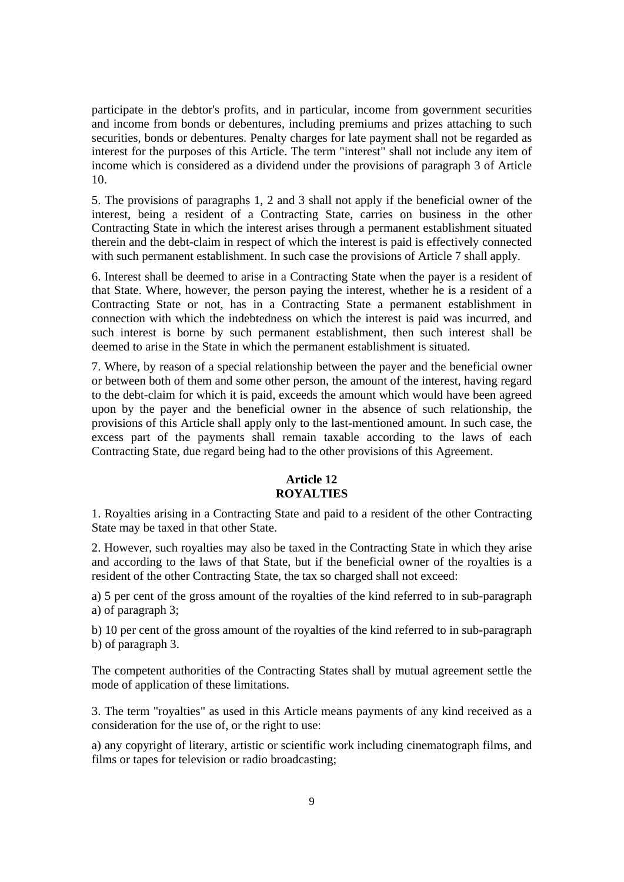participate in the debtor's profits, and in particular, income from government securities and income from bonds or debentures, including premiums and prizes attaching to such securities, bonds or debentures. Penalty charges for late payment shall not be regarded as interest for the purposes of this Article. The term "interest" shall not include any item of income which is considered as a dividend under the provisions of paragraph 3 of Article 10.

5. The provisions of paragraphs 1, 2 and 3 shall not apply if the beneficial owner of the interest, being a resident of a Contracting State, carries on business in the other Contracting State in which the interest arises through a permanent establishment situated therein and the debt-claim in respect of which the interest is paid is effectively connected with such permanent establishment. In such case the provisions of Article 7 shall apply.

6. Interest shall be deemed to arise in a Contracting State when the payer is a resident of that State. Where, however, the person paying the interest, whether he is a resident of a Contracting State or not, has in a Contracting State a permanent establishment in connection with which the indebtedness on which the interest is paid was incurred, and such interest is borne by such permanent establishment, then such interest shall be deemed to arise in the State in which the permanent establishment is situated.

7. Where, by reason of a special relationship between the payer and the beneficial owner or between both of them and some other person, the amount of the interest, having regard to the debt-claim for which it is paid, exceeds the amount which would have been agreed upon by the payer and the beneficial owner in the absence of such relationship, the provisions of this Article shall apply only to the last-mentioned amount. In such case, the excess part of the payments shall remain taxable according to the laws of each Contracting State, due regard being had to the other provisions of this Agreement.

## **Article 12 ROYALTIES**

1. Royalties arising in a Contracting State and paid to a resident of the other Contracting State may be taxed in that other State.

2. However, such royalties may also be taxed in the Contracting State in which they arise and according to the laws of that State, but if the beneficial owner of the royalties is a resident of the other Contracting State, the tax so charged shall not exceed:

a) 5 per cent of the gross amount of the royalties of the kind referred to in sub-paragraph a) of paragraph 3;

b) 10 per cent of the gross amount of the royalties of the kind referred to in sub-paragraph b) of paragraph 3.

The competent authorities of the Contracting States shall by mutual agreement settle the mode of application of these limitations.

3. The term "royalties" as used in this Article means payments of any kind received as a consideration for the use of, or the right to use:

a) any copyright of literary, artistic or scientific work including cinematograph films, and films or tapes for television or radio broadcasting;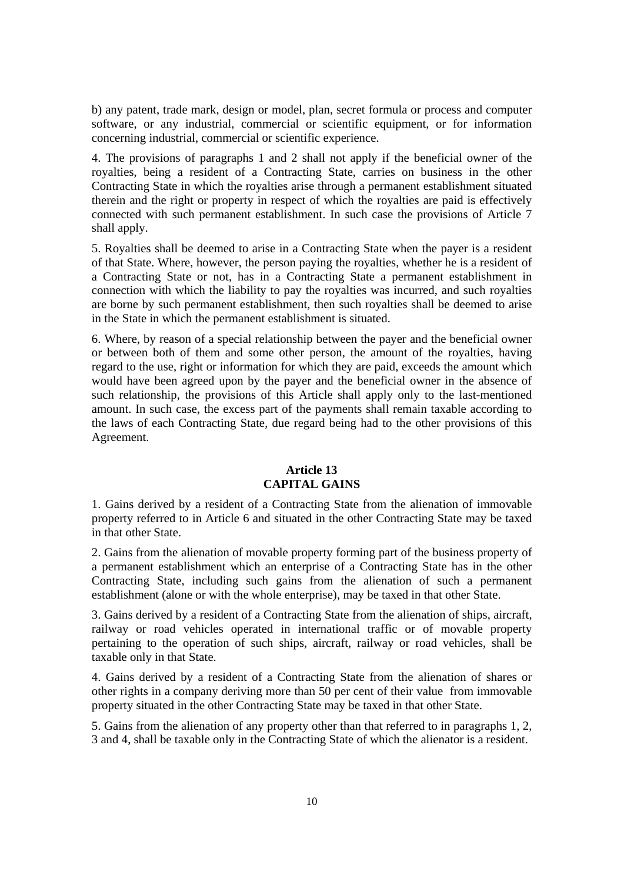b) any patent, trade mark, design or model, plan, secret formula or process and computer software, or any industrial, commercial or scientific equipment, or for information concerning industrial, commercial or scientific experience.

4. The provisions of paragraphs 1 and 2 shall not apply if the beneficial owner of the royalties, being a resident of a Contracting State, carries on business in the other Contracting State in which the royalties arise through a permanent establishment situated therein and the right or property in respect of which the royalties are paid is effectively connected with such permanent establishment. In such case the provisions of Article 7 shall apply.

5. Royalties shall be deemed to arise in a Contracting State when the payer is a resident of that State. Where, however, the person paying the royalties, whether he is a resident of a Contracting State or not, has in a Contracting State a permanent establishment in connection with which the liability to pay the royalties was incurred, and such royalties are borne by such permanent establishment, then such royalties shall be deemed to arise in the State in which the permanent establishment is situated.

6. Where, by reason of a special relationship between the payer and the beneficial owner or between both of them and some other person, the amount of the royalties, having regard to the use, right or information for which they are paid, exceeds the amount which would have been agreed upon by the payer and the beneficial owner in the absence of such relationship, the provisions of this Article shall apply only to the last-mentioned amount. In such case, the excess part of the payments shall remain taxable according to the laws of each Contracting State, due regard being had to the other provisions of this Agreement.

#### **Article 13 CAPITAL GAINS**

1. Gains derived by a resident of a Contracting State from the alienation of immovable property referred to in Article 6 and situated in the other Contracting State may be taxed in that other State.

2. Gains from the alienation of movable property forming part of the business property of a permanent establishment which an enterprise of a Contracting State has in the other Contracting State, including such gains from the alienation of such a permanent establishment (alone or with the whole enterprise), may be taxed in that other State.

3. Gains derived by a resident of a Contracting State from the alienation of ships, aircraft, railway or road vehicles operated in international traffic or of movable property pertaining to the operation of such ships, aircraft, railway or road vehicles, shall be taxable only in that State.

4. Gains derived by a resident of a Contracting State from the alienation of shares or other rights in a company deriving more than 50 per cent of their value from immovable property situated in the other Contracting State may be taxed in that other State.

5. Gains from the alienation of any property other than that referred to in paragraphs 1, 2, 3 and 4, shall be taxable only in the Contracting State of which the alienator is a resident.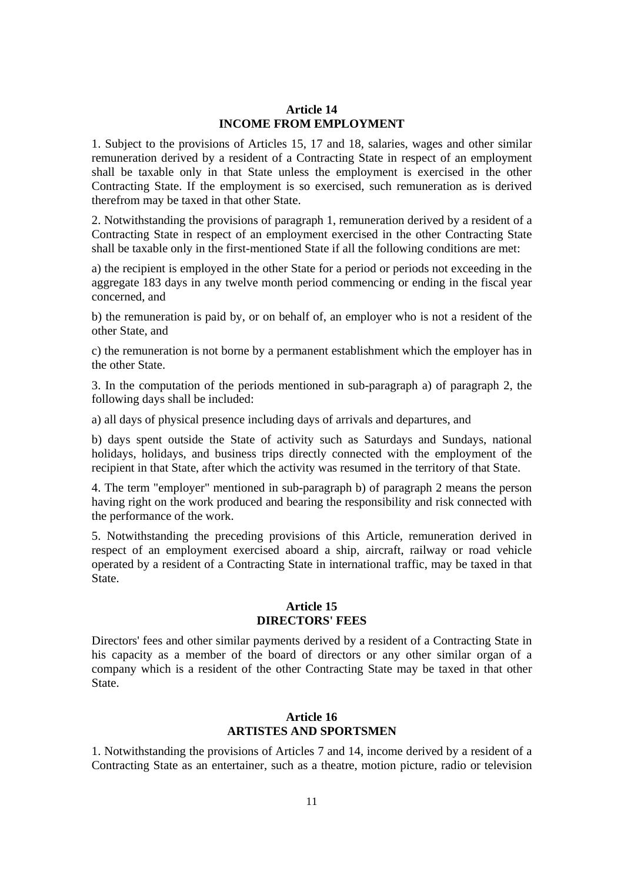## **Article 14 INCOME FROM EMPLOYMENT**

1. Subject to the provisions of Articles 15, 17 and 18, salaries, wages and other similar remuneration derived by a resident of a Contracting State in respect of an employment shall be taxable only in that State unless the employment is exercised in the other Contracting State. If the employment is so exercised, such remuneration as is derived therefrom may be taxed in that other State.

2. Notwithstanding the provisions of paragraph 1, remuneration derived by a resident of a Contracting State in respect of an employment exercised in the other Contracting State shall be taxable only in the first-mentioned State if all the following conditions are met:

a) the recipient is employed in the other State for a period or periods not exceeding in the aggregate 183 days in any twelve month period commencing or ending in the fiscal year concerned, and

b) the remuneration is paid by, or on behalf of, an employer who is not a resident of the other State, and

c) the remuneration is not borne by a permanent establishment which the employer has in the other State.

3. In the computation of the periods mentioned in sub-paragraph a) of paragraph 2, the following days shall be included:

a) all days of physical presence including days of arrivals and departures, and

b) days spent outside the State of activity such as Saturdays and Sundays, national holidays, holidays, and business trips directly connected with the employment of the recipient in that State, after which the activity was resumed in the territory of that State.

4. The term "employer" mentioned in sub-paragraph b) of paragraph 2 means the person having right on the work produced and bearing the responsibility and risk connected with the performance of the work.

5. Notwithstanding the preceding provisions of this Article, remuneration derived in respect of an employment exercised aboard a ship, aircraft, railway or road vehicle operated by a resident of a Contracting State in international traffic, may be taxed in that State.

#### **Article 15 DIRECTORS' FEES**

Directors' fees and other similar payments derived by a resident of a Contracting State in his capacity as a member of the board of directors or any other similar organ of a company which is a resident of the other Contracting State may be taxed in that other State.

## **Article 16 ARTISTES AND SPORTSMEN**

1. Notwithstanding the provisions of Articles 7 and 14, income derived by a resident of a Contracting State as an entertainer, such as a theatre, motion picture, radio or television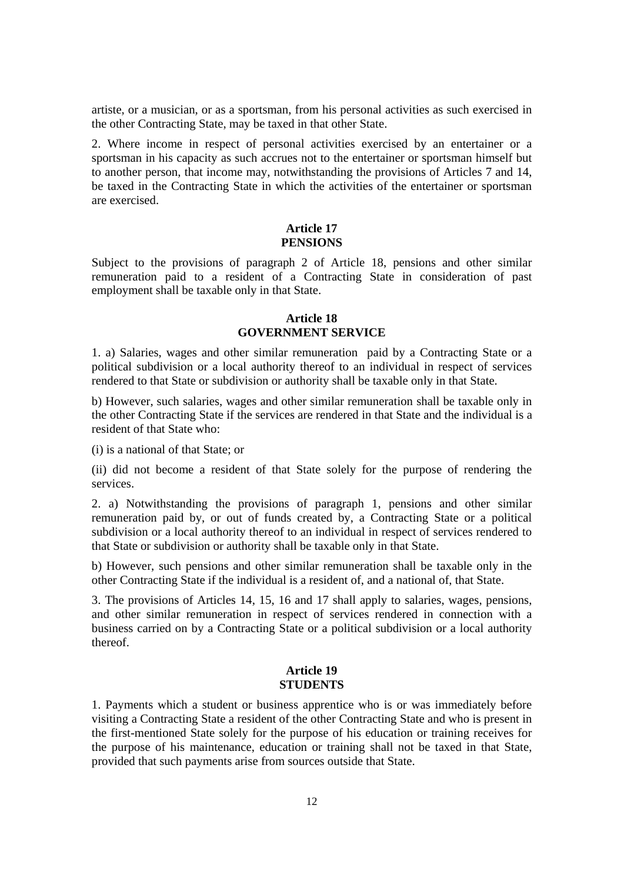artiste, or a musician, or as a sportsman, from his personal activities as such exercised in the other Contracting State, may be taxed in that other State.

2. Where income in respect of personal activities exercised by an entertainer or a sportsman in his capacity as such accrues not to the entertainer or sportsman himself but to another person, that income may, notwithstanding the provisions of Articles 7 and 14, be taxed in the Contracting State in which the activities of the entertainer or sportsman are exercised.

#### **Article 17 PENSIONS**

Subject to the provisions of paragraph 2 of Article 18, pensions and other similar remuneration paid to a resident of a Contracting State in consideration of past employment shall be taxable only in that State.

## **Article 18 GOVERNMENT SERVICE**

1. a) Salaries, wages and other similar remuneration paid by a Contracting State or a political subdivision or a local authority thereof to an individual in respect of services rendered to that State or subdivision or authority shall be taxable only in that State.

b) However, such salaries, wages and other similar remuneration shall be taxable only in the other Contracting State if the services are rendered in that State and the individual is a resident of that State who:

(i) is a national of that State; or

(ii) did not become a resident of that State solely for the purpose of rendering the services.

2. a) Notwithstanding the provisions of paragraph 1, pensions and other similar remuneration paid by, or out of funds created by, a Contracting State or a political subdivision or a local authority thereof to an individual in respect of services rendered to that State or subdivision or authority shall be taxable only in that State.

b) However, such pensions and other similar remuneration shall be taxable only in the other Contracting State if the individual is a resident of, and a national of, that State.

3. The provisions of Articles 14, 15, 16 and 17 shall apply to salaries, wages, pensions, and other similar remuneration in respect of services rendered in connection with a business carried on by a Contracting State or a political subdivision or a local authority thereof.

## **Article 19 STUDENTS**

1. Payments which a student or business apprentice who is or was immediately before visiting a Contracting State a resident of the other Contracting State and who is present in the first-mentioned State solely for the purpose of his education or training receives for the purpose of his maintenance, education or training shall not be taxed in that State, provided that such payments arise from sources outside that State.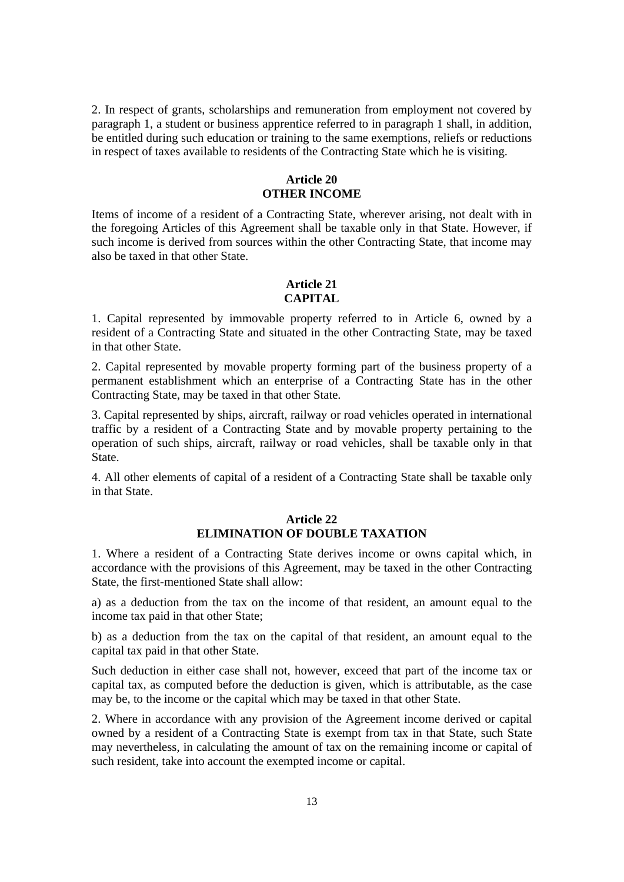2. In respect of grants, scholarships and remuneration from employment not covered by paragraph 1, a student or business apprentice referred to in paragraph 1 shall, in addition, be entitled during such education or training to the same exemptions, reliefs or reductions in respect of taxes available to residents of the Contracting State which he is visiting.

## **Article 20 OTHER INCOME**

Items of income of a resident of a Contracting State, wherever arising, not dealt with in the foregoing Articles of this Agreement shall be taxable only in that State. However, if such income is derived from sources within the other Contracting State, that income may also be taxed in that other State.

# **Article 21 CAPITAL**

1. Capital represented by immovable property referred to in Article 6, owned by a resident of a Contracting State and situated in the other Contracting State, may be taxed in that other State.

2. Capital represented by movable property forming part of the business property of a permanent establishment which an enterprise of a Contracting State has in the other Contracting State, may be taxed in that other State.

3. Capital represented by ships, aircraft, railway or road vehicles operated in international traffic by a resident of a Contracting State and by movable property pertaining to the operation of such ships, aircraft, railway or road vehicles, shall be taxable only in that State.

4. All other elements of capital of a resident of a Contracting State shall be taxable only in that State.

## **Article 22 ELIMINATION OF DOUBLE TAXATION**

1. Where a resident of a Contracting State derives income or owns capital which, in accordance with the provisions of this Agreement, may be taxed in the other Contracting State, the first-mentioned State shall allow:

a) as a deduction from the tax on the income of that resident, an amount equal to the income tax paid in that other State;

b) as a deduction from the tax on the capital of that resident, an amount equal to the capital tax paid in that other State.

Such deduction in either case shall not, however, exceed that part of the income tax or capital tax, as computed before the deduction is given, which is attributable, as the case may be, to the income or the capital which may be taxed in that other State.

2. Where in accordance with any provision of the Agreement income derived or capital owned by a resident of a Contracting State is exempt from tax in that State, such State may nevertheless, in calculating the amount of tax on the remaining income or capital of such resident, take into account the exempted income or capital.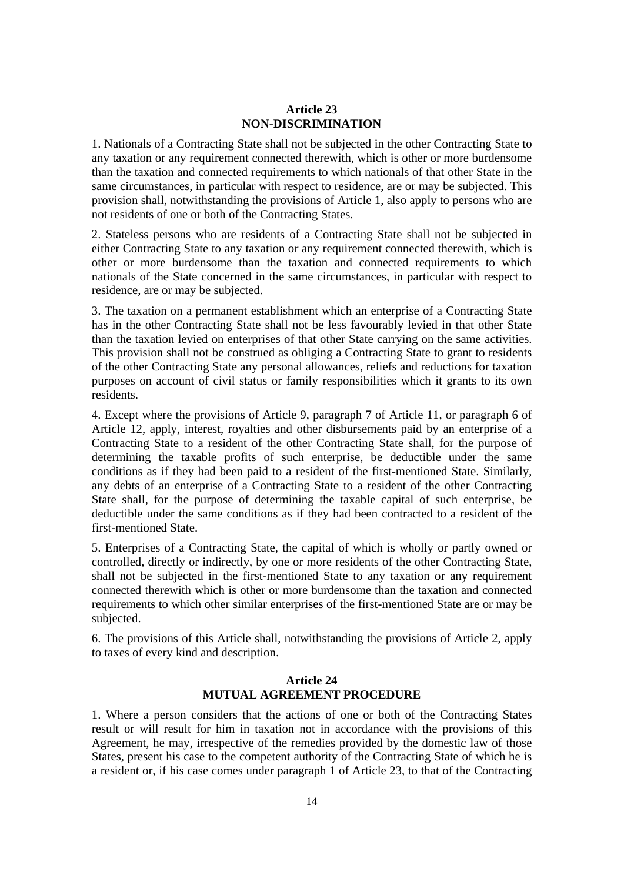## **Article 23 NON-DISCRIMINATION**

1. Nationals of a Contracting State shall not be subjected in the other Contracting State to any taxation or any requirement connected therewith, which is other or more burdensome than the taxation and connected requirements to which nationals of that other State in the same circumstances, in particular with respect to residence, are or may be subjected. This provision shall, notwithstanding the provisions of Article 1, also apply to persons who are not residents of one or both of the Contracting States.

2. Stateless persons who are residents of a Contracting State shall not be subjected in either Contracting State to any taxation or any requirement connected therewith, which is other or more burdensome than the taxation and connected requirements to which nationals of the State concerned in the same circumstances, in particular with respect to residence, are or may be subjected.

3. The taxation on a permanent establishment which an enterprise of a Contracting State has in the other Contracting State shall not be less favourably levied in that other State than the taxation levied on enterprises of that other State carrying on the same activities. This provision shall not be construed as obliging a Contracting State to grant to residents of the other Contracting State any personal allowances, reliefs and reductions for taxation purposes on account of civil status or family responsibilities which it grants to its own residents.

4. Except where the provisions of Article 9, paragraph 7 of Article 11, or paragraph 6 of Article 12, apply, interest, royalties and other disbursements paid by an enterprise of a Contracting State to a resident of the other Contracting State shall, for the purpose of determining the taxable profits of such enterprise, be deductible under the same conditions as if they had been paid to a resident of the first-mentioned State. Similarly, any debts of an enterprise of a Contracting State to a resident of the other Contracting State shall, for the purpose of determining the taxable capital of such enterprise, be deductible under the same conditions as if they had been contracted to a resident of the first-mentioned State.

5. Enterprises of a Contracting State, the capital of which is wholly or partly owned or controlled, directly or indirectly, by one or more residents of the other Contracting State, shall not be subjected in the first-mentioned State to any taxation or any requirement connected therewith which is other or more burdensome than the taxation and connected requirements to which other similar enterprises of the first-mentioned State are or may be subjected.

6. The provisions of this Article shall, notwithstanding the provisions of Article 2, apply to taxes of every kind and description.

# **Article 24 MUTUAL AGREEMENT PROCEDURE**

1. Where a person considers that the actions of one or both of the Contracting States result or will result for him in taxation not in accordance with the provisions of this Agreement, he may, irrespective of the remedies provided by the domestic law of those States, present his case to the competent authority of the Contracting State of which he is a resident or, if his case comes under paragraph 1 of Article 23, to that of the Contracting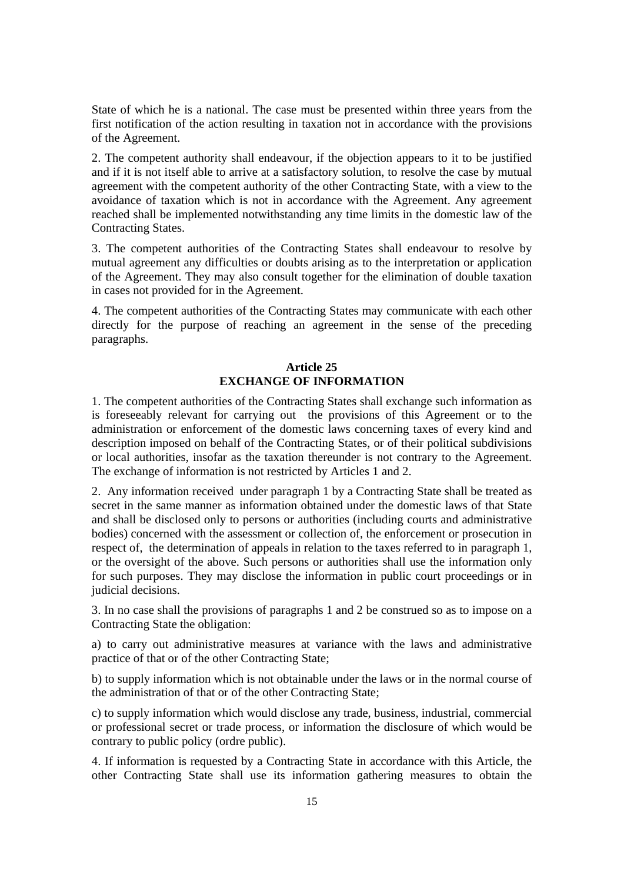State of which he is a national. The case must be presented within three years from the first notification of the action resulting in taxation not in accordance with the provisions of the Agreement.

2. The competent authority shall endeavour, if the objection appears to it to be justified and if it is not itself able to arrive at a satisfactory solution, to resolve the case by mutual agreement with the competent authority of the other Contracting State, with a view to the avoidance of taxation which is not in accordance with the Agreement. Any agreement reached shall be implemented notwithstanding any time limits in the domestic law of the Contracting States.

3. The competent authorities of the Contracting States shall endeavour to resolve by mutual agreement any difficulties or doubts arising as to the interpretation or application of the Agreement. They may also consult together for the elimination of double taxation in cases not provided for in the Agreement.

4. The competent authorities of the Contracting States may communicate with each other directly for the purpose of reaching an agreement in the sense of the preceding paragraphs.

## **Article 25 EXCHANGE OF INFORMATION**

1. The competent authorities of the Contracting States shall exchange such information as is foreseeably relevant for carrying out the provisions of this Agreement or to the administration or enforcement of the domestic laws concerning taxes of every kind and description imposed on behalf of the Contracting States, or of their political subdivisions or local authorities, insofar as the taxation thereunder is not contrary to the Agreement. The exchange of information is not restricted by Articles 1 and 2.

2. Any information received under paragraph 1 by a Contracting State shall be treated as secret in the same manner as information obtained under the domestic laws of that State and shall be disclosed only to persons or authorities (including courts and administrative bodies) concerned with the assessment or collection of, the enforcement or prosecution in respect of, the determination of appeals in relation to the taxes referred to in paragraph 1, or the oversight of the above. Such persons or authorities shall use the information only for such purposes. They may disclose the information in public court proceedings or in judicial decisions.

3. In no case shall the provisions of paragraphs 1 and 2 be construed so as to impose on a Contracting State the obligation:

a) to carry out administrative measures at variance with the laws and administrative practice of that or of the other Contracting State;

b) to supply information which is not obtainable under the laws or in the normal course of the administration of that or of the other Contracting State;

c) to supply information which would disclose any trade, business, industrial, commercial or professional secret or trade process, or information the disclosure of which would be contrary to public policy (ordre public).

4. If information is requested by a Contracting State in accordance with this Article, the other Contracting State shall use its information gathering measures to obtain the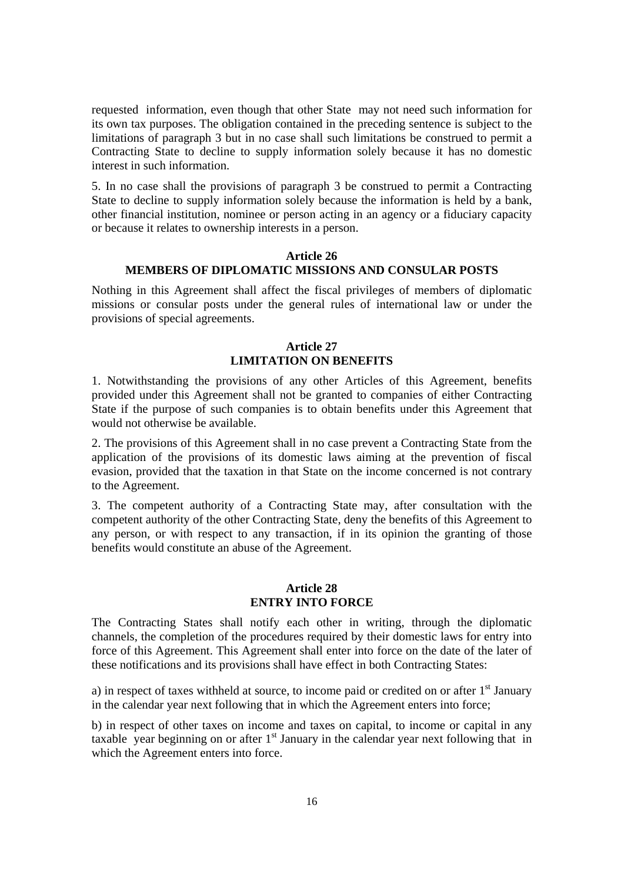requested information, even though that other State may not need such information for its own tax purposes. The obligation contained in the preceding sentence is subject to the limitations of paragraph 3 but in no case shall such limitations be construed to permit a Contracting State to decline to supply information solely because it has no domestic interest in such information.

5. In no case shall the provisions of paragraph 3 be construed to permit a Contracting State to decline to supply information solely because the information is held by a bank, other financial institution, nominee or person acting in an agency or a fiduciary capacity or because it relates to ownership interests in a person.

### **Article 26 MEMBERS OF DIPLOMATIC MISSIONS AND CONSULAR POSTS**

Nothing in this Agreement shall affect the fiscal privileges of members of diplomatic missions or consular posts under the general rules of international law or under the provisions of special agreements.

#### **Article 27 LIMITATION ON BENEFITS**

1. Notwithstanding the provisions of any other Articles of this Agreement, benefits provided under this Agreement shall not be granted to companies of either Contracting State if the purpose of such companies is to obtain benefits under this Agreement that would not otherwise be available.

2. The provisions of this Agreement shall in no case prevent a Contracting State from the application of the provisions of its domestic laws aiming at the prevention of fiscal evasion, provided that the taxation in that State on the income concerned is not contrary to the Agreement.

3. The competent authority of a Contracting State may, after consultation with the competent authority of the other Contracting State, deny the benefits of this Agreement to any person, or with respect to any transaction, if in its opinion the granting of those benefits would constitute an abuse of the Agreement.

#### **Article 28 ENTRY INTO FORCE**

The Contracting States shall notify each other in writing, through the diplomatic channels, the completion of the procedures required by their domestic laws for entry into force of this Agreement. This Agreement shall enter into force on the date of the later of these notifications and its provisions shall have effect in both Contracting States:

a) in respect of taxes withheld at source, to income paid or credited on or after  $1<sup>st</sup>$  January in the calendar year next following that in which the Agreement enters into force;

b) in respect of other taxes on income and taxes on capital, to income or capital in any taxable year beginning on or after  $1<sup>st</sup>$  January in the calendar year next following that in which the Agreement enters into force.